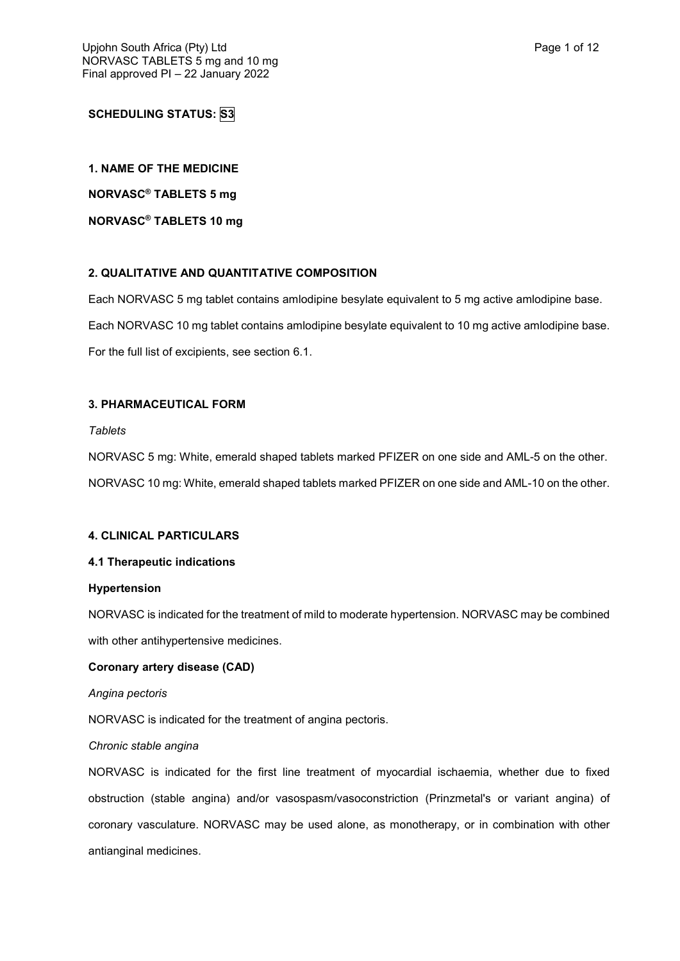# **SCHEDULING STATUS: S3**

**1. NAME OF THE MEDICINE**

**NORVASC® TABLETS 5 mg**

**NORVASC® TABLETS 10 mg**

## **2. QUALITATIVE AND QUANTITATIVE COMPOSITION**

Each NORVASC 5 mg tablet contains amlodipine besylate equivalent to 5 mg active amlodipine base. Each NORVASC 10 mg tablet contains amlodipine besylate equivalent to 10 mg active amlodipine base. For the full list of excipients, see section 6.1.

## **3. PHARMACEUTICAL FORM**

*Tablets*

NORVASC 5 mg: White, emerald shaped tablets marked PFIZER on one side and AML-5 on the other. NORVASC 10 mg: White, emerald shaped tablets marked PFIZER on one side and AML-10 on the other.

## **4. CLINICAL PARTICULARS**

## **4.1 Therapeutic indications**

## **Hypertension**

NORVASC is indicated for the treatment of mild to moderate hypertension. NORVASC may be combined with other antihypertensive medicines.

## **Coronary artery disease (CAD)**

*Angina pectoris*

NORVASC is indicated for the treatment of angina pectoris.

*Chronic stable angina*

NORVASC is indicated for the first line treatment of myocardial ischaemia, whether due to fixed obstruction (stable angina) and/or vasospasm/vasoconstriction (Prinzmetal's or variant angina) of coronary vasculature. NORVASC may be used alone, as monotherapy, or in combination with other antianginal medicines.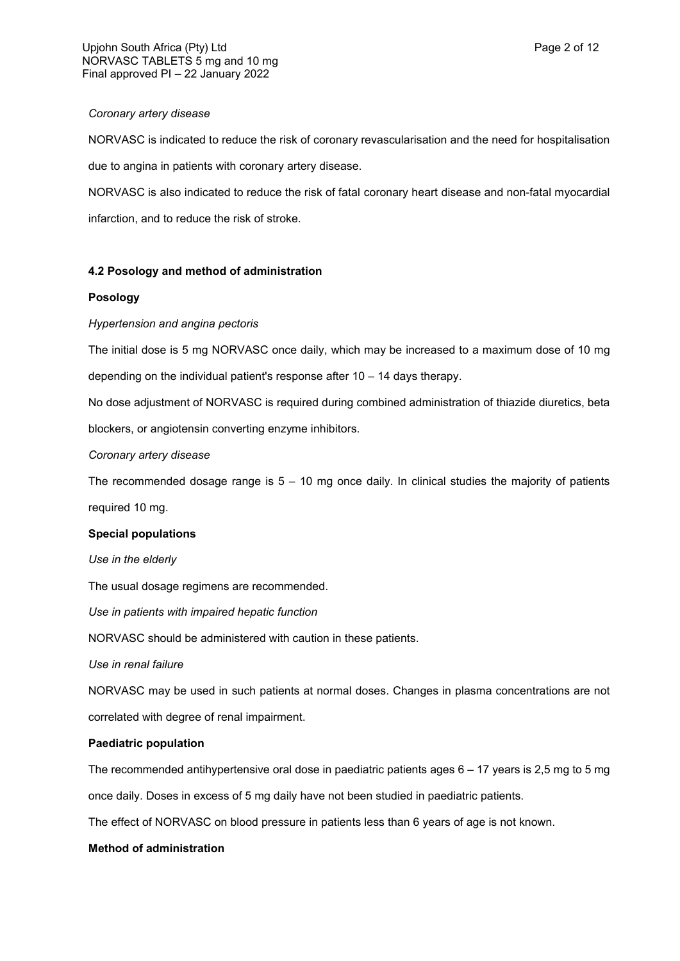### *Coronary artery disease*

NORVASC is indicated to reduce the risk of coronary revascularisation and the need for hospitalisation due to angina in patients with coronary artery disease.

NORVASC is also indicated to reduce the risk of fatal coronary heart disease and non-fatal myocardial infarction, and to reduce the risk of stroke.

## **4.2 Posology and method of administration**

## **Posology**

## *Hypertension and angina pectoris*

The initial dose is 5 mg NORVASC once daily, which may be increased to a maximum dose of 10 mg depending on the individual patient's response after 10 – 14 days therapy.

No dose adjustment of NORVASC is required during combined administration of thiazide diuretics, beta blockers, or angiotensin converting enzyme inhibitors.

### *Coronary artery disease*

The recommended dosage range is  $5 - 10$  mg once daily. In clinical studies the majority of patients required 10 mg.

## **Special populations**

*Use in the elderly*

The usual dosage regimens are recommended.

*Use in patients with impaired hepatic function*

NORVASC should be administered with caution in these patients.

*Use in renal failure*

NORVASC may be used in such patients at normal doses. Changes in plasma concentrations are not correlated with degree of renal impairment.

## **Paediatric population**

The recommended antihypertensive oral dose in paediatric patients ages 6 – 17 years is 2,5 mg to 5 mg once daily. Doses in excess of 5 mg daily have not been studied in paediatric patients.

The effect of NORVASC on blood pressure in patients less than 6 years of age is not known.

## **Method of administration**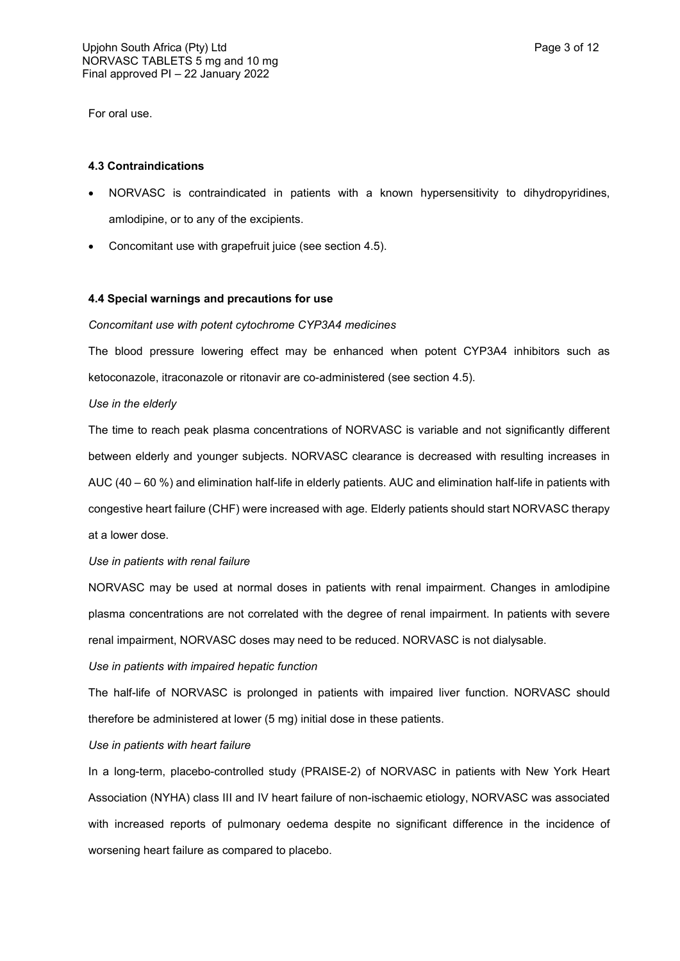For oral use.

### **4.3 Contraindications**

- NORVASC is contraindicated in patients with a known hypersensitivity to dihydropyridines, amlodipine, or to any of the excipients.
- Concomitant use with grapefruit juice (see section 4.5).

### **4.4 Special warnings and precautions for use**

### *Concomitant use with potent cytochrome CYP3A4 medicines*

The blood pressure lowering effect may be enhanced when potent CYP3A4 inhibitors such as ketoconazole, itraconazole or ritonavir are co-administered (see section 4.5).

### *Use in the elderly*

The time to reach peak plasma concentrations of NORVASC is variable and not significantly different between elderly and younger subjects. NORVASC clearance is decreased with resulting increases in AUC (40 – 60 %) and elimination half-life in elderly patients. AUC and elimination half-life in patients with congestive heart failure (CHF) were increased with age. Elderly patients should start NORVASC therapy at a lower dose.

### *Use in patients with renal failure*

NORVASC may be used at normal doses in patients with renal impairment. Changes in amlodipine plasma concentrations are not correlated with the degree of renal impairment. In patients with severe renal impairment, NORVASC doses may need to be reduced. NORVASC is not dialysable.

*Use in patients with impaired hepatic function*

The half-life of NORVASC is prolonged in patients with impaired liver function. NORVASC should therefore be administered at lower (5 mg) initial dose in these patients.

*Use in patients with heart failure*

In a long-term, placebo-controlled study (PRAISE-2) of NORVASC in patients with New York Heart Association (NYHA) class III and IV heart failure of non-ischaemic etiology, NORVASC was associated with increased reports of pulmonary oedema despite no significant difference in the incidence of worsening heart failure as compared to placebo.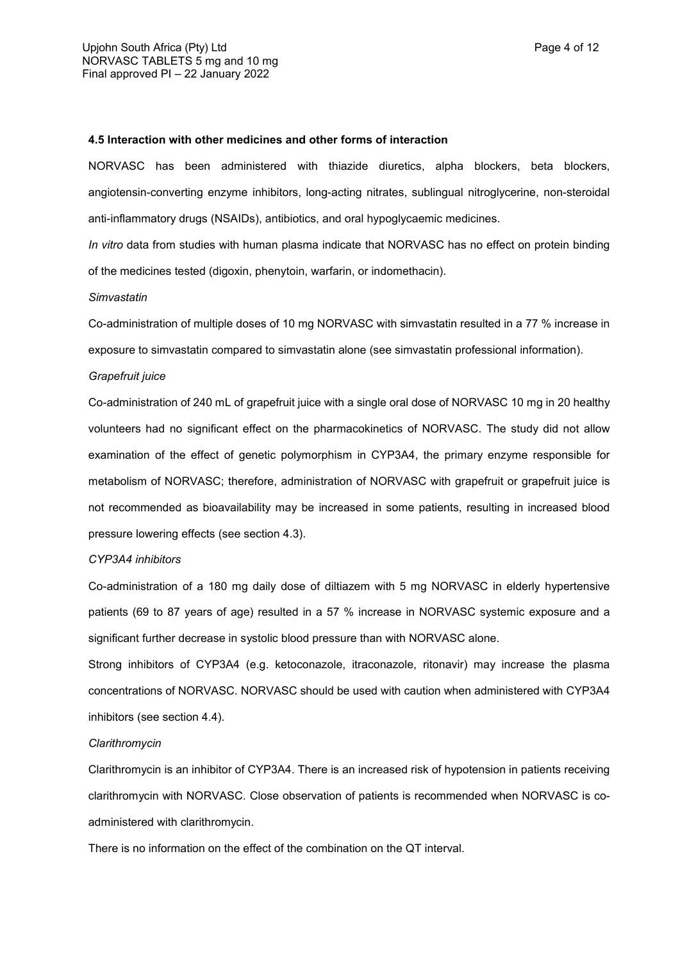#### **4.5 Interaction with other medicines and other forms of interaction**

NORVASC has been administered with thiazide diuretics, alpha blockers, beta blockers, angiotensin-converting enzyme inhibitors, long-acting nitrates, sublingual nitroglycerine, non-steroidal anti-inflammatory drugs (NSAIDs), antibiotics, and oral hypoglycaemic medicines.

*In vitro* data from studies with human plasma indicate that NORVASC has no effect on protein binding of the medicines tested (digoxin, phenytoin, warfarin, or indomethacin).

#### *Simvastatin*

Co-administration of multiple doses of 10 mg NORVASC with simvastatin resulted in a 77 % increase in exposure to simvastatin compared to simvastatin alone (see simvastatin professional information).

#### *Grapefruit juice*

Co-administration of 240 mL of grapefruit juice with a single oral dose of NORVASC 10 mg in 20 healthy volunteers had no significant effect on the pharmacokinetics of NORVASC. The study did not allow examination of the effect of genetic polymorphism in CYP3A4, the primary enzyme responsible for metabolism of NORVASC; therefore, administration of NORVASC with grapefruit or grapefruit juice is not recommended as bioavailability may be increased in some patients, resulting in increased blood pressure lowering effects (see section 4.3).

#### *CYP3A4 inhibitors*

Co-administration of a 180 mg daily dose of diltiazem with 5 mg NORVASC in elderly hypertensive patients (69 to 87 years of age) resulted in a 57 % increase in NORVASC systemic exposure and a significant further decrease in systolic blood pressure than with NORVASC alone.

Strong inhibitors of CYP3A4 (e.g. ketoconazole, itraconazole, ritonavir) may increase the plasma concentrations of NORVASC. NORVASC should be used with caution when administered with CYP3A4 inhibitors (see section 4.4).

#### *Clarithromycin*

Clarithromycin is an inhibitor of CYP3A4. There is an increased risk of hypotension in patients receiving clarithromycin with NORVASC. Close observation of patients is recommended when NORVASC is coadministered with clarithromycin.

There is no information on the effect of the combination on the QT interval.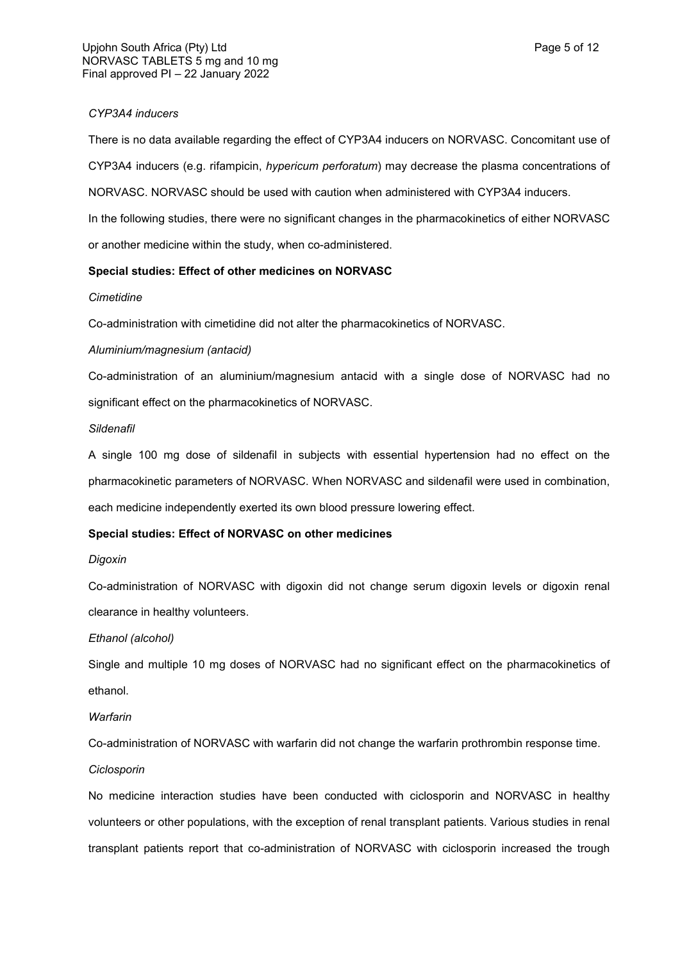#### *CYP3A4 inducers*

There is no data available regarding the effect of CYP3A4 inducers on NORVASC. Concomitant use of CYP3A4 inducers (e.g. rifampicin, *hypericum perforatum*) may decrease the plasma concentrations of NORVASC. NORVASC should be used with caution when administered with CYP3A4 inducers. In the following studies, there were no significant changes in the pharmacokinetics of either NORVASC or another medicine within the study, when co-administered.

#### **Special studies: Effect of other medicines on NORVASC**

#### *Cimetidine*

Co-administration with cimetidine did not alter the pharmacokinetics of NORVASC.

#### *Aluminium/magnesium (antacid)*

Co-administration of an aluminium/magnesium antacid with a single dose of NORVASC had no significant effect on the pharmacokinetics of NORVASC.

#### *Sildenafil*

A single 100 mg dose of sildenafil in subjects with essential hypertension had no effect on the pharmacokinetic parameters of NORVASC. When NORVASC and sildenafil were used in combination, each medicine independently exerted its own blood pressure lowering effect.

### **Special studies: Effect of NORVASC on other medicines**

#### *Digoxin*

Co-administration of NORVASC with digoxin did not change serum digoxin levels or digoxin renal clearance in healthy volunteers.

#### *Ethanol (alcohol)*

Single and multiple 10 mg doses of NORVASC had no significant effect on the pharmacokinetics of ethanol.

#### *Warfarin*

Co-administration of NORVASC with warfarin did not change the warfarin prothrombin response time.

### *Ciclosporin*

No medicine interaction studies have been conducted with ciclosporin and NORVASC in healthy volunteers or other populations, with the exception of renal transplant patients. Various studies in renal transplant patients report that co-administration of NORVASC with ciclosporin increased the trough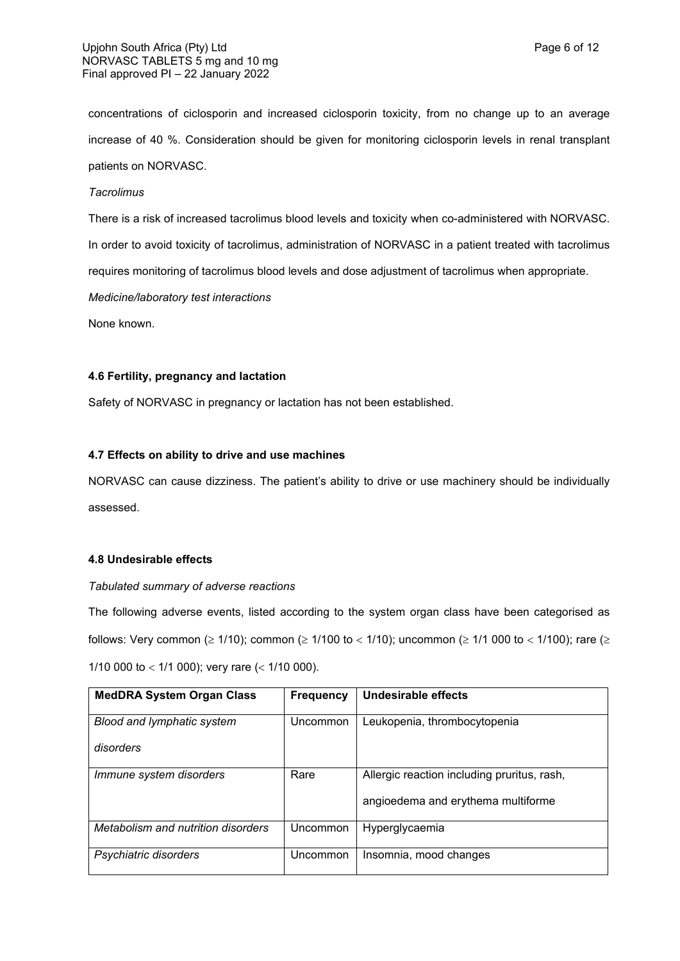concentrations of ciclosporin and increased ciclosporin toxicity, from no change up to an average increase of 40 %. Consideration should be given for monitoring ciclosporin levels in renal transplant patients on NORVASC.

#### *Tacrolimus*

There is a risk of increased tacrolimus blood levels and toxicity when co-administered with NORVASC. In order to avoid toxicity of tacrolimus, administration of NORVASC in a patient treated with tacrolimus requires monitoring of tacrolimus blood levels and dose adjustment of tacrolimus when appropriate.

*Medicine/laboratory test interactions*

None known.

### **4.6 Fertility, pregnancy and lactation**

Safety of NORVASC in pregnancy or lactation has not been established.

### **4.7 Effects on ability to drive and use machines**

NORVASC can cause dizziness. The patient's ability to drive or use machinery should be individually assessed.

### **4.8 Undesirable effects**

### *Tabulated summary of adverse reactions*

The following adverse events, listed according to the system organ class have been categorised as follows: Very common ( $\geq 1/10$ ); common ( $\geq 1/100$  to  $< 1/10$ ); uncommon ( $\geq 1/1$  000 to  $< 1/100$ ); rare ( $\geq$ 1/10 000 to < 1/1 000); very rare  $($  < 1/10 000).

| <b>MedDRA System Organ Class</b>   | <b>Frequency</b> | Undesirable effects                         |
|------------------------------------|------------------|---------------------------------------------|
| Blood and lymphatic system         | Uncommon         | Leukopenia, thrombocytopenia                |
| disorders                          |                  |                                             |
| Immune system disorders            | Rare             | Allergic reaction including pruritus, rash, |
|                                    |                  | angioedema and erythema multiforme          |
| Metabolism and nutrition disorders | Uncommon         | Hyperglycaemia                              |
| Psychiatric disorders              | Uncommon         | Insomnia, mood changes                      |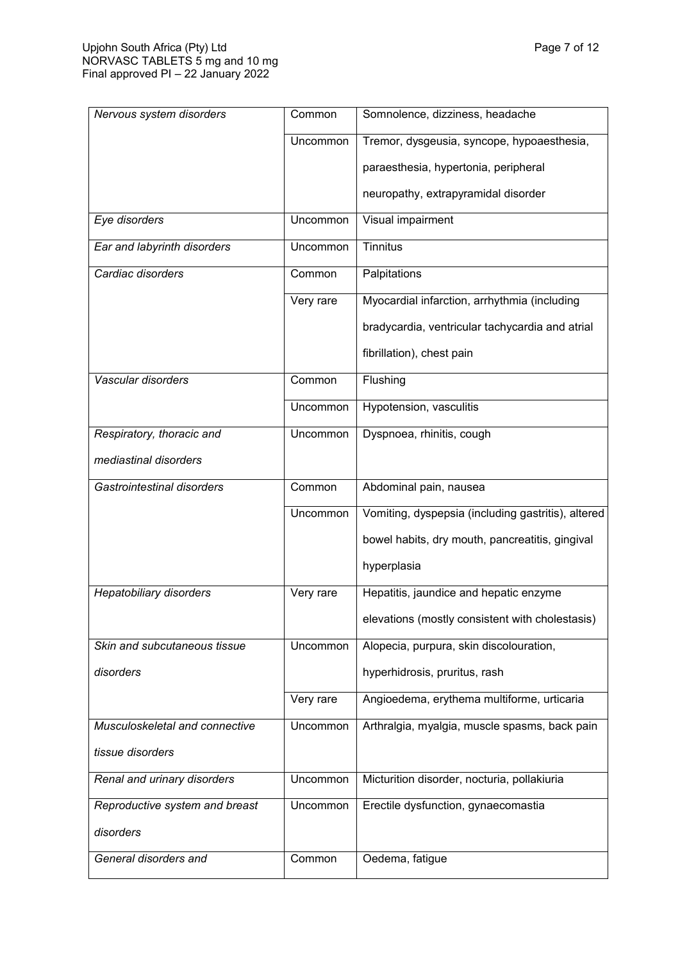| Nervous system disorders       | Common    | Somnolence, dizziness, headache                    |
|--------------------------------|-----------|----------------------------------------------------|
|                                | Uncommon  | Tremor, dysgeusia, syncope, hypoaesthesia,         |
|                                |           | paraesthesia, hypertonia, peripheral               |
|                                |           | neuropathy, extrapyramidal disorder                |
| Eye disorders                  | Uncommon  | Visual impairment                                  |
| Ear and labyrinth disorders    | Uncommon  | <b>Tinnitus</b>                                    |
| Cardiac disorders              | Common    | Palpitations                                       |
|                                | Very rare | Myocardial infarction, arrhythmia (including       |
|                                |           | bradycardia, ventricular tachycardia and atrial    |
|                                |           | fibrillation), chest pain                          |
| Vascular disorders             | Common    | Flushing                                           |
|                                | Uncommon  | Hypotension, vasculitis                            |
| Respiratory, thoracic and      | Uncommon  | Dyspnoea, rhinitis, cough                          |
| mediastinal disorders          |           |                                                    |
| Gastrointestinal disorders     | Common    | Abdominal pain, nausea                             |
|                                | Uncommon  | Vomiting, dyspepsia (including gastritis), altered |
|                                |           | bowel habits, dry mouth, pancreatitis, gingival    |
|                                |           | hyperplasia                                        |
| <b>Hepatobiliary disorders</b> | Very rare | Hepatitis, jaundice and hepatic enzyme             |
|                                |           | elevations (mostly consistent with cholestasis)    |
| Skin and subcutaneous tissue   | Uncommon  | Alopecia, purpura, skin discolouration,            |
| disorders                      |           | hyperhidrosis, pruritus, rash                      |
|                                | Very rare | Angioedema, erythema multiforme, urticaria         |
| Musculoskeletal and connective | Uncommon  | Arthralgia, myalgia, muscle spasms, back pain      |
| tissue disorders               |           |                                                    |
| Renal and urinary disorders    | Uncommon  | Micturition disorder, nocturia, pollakiuria        |
| Reproductive system and breast | Uncommon  | Erectile dysfunction, gynaecomastia                |
| disorders                      |           |                                                    |
| General disorders and          | Common    | Oedema, fatigue                                    |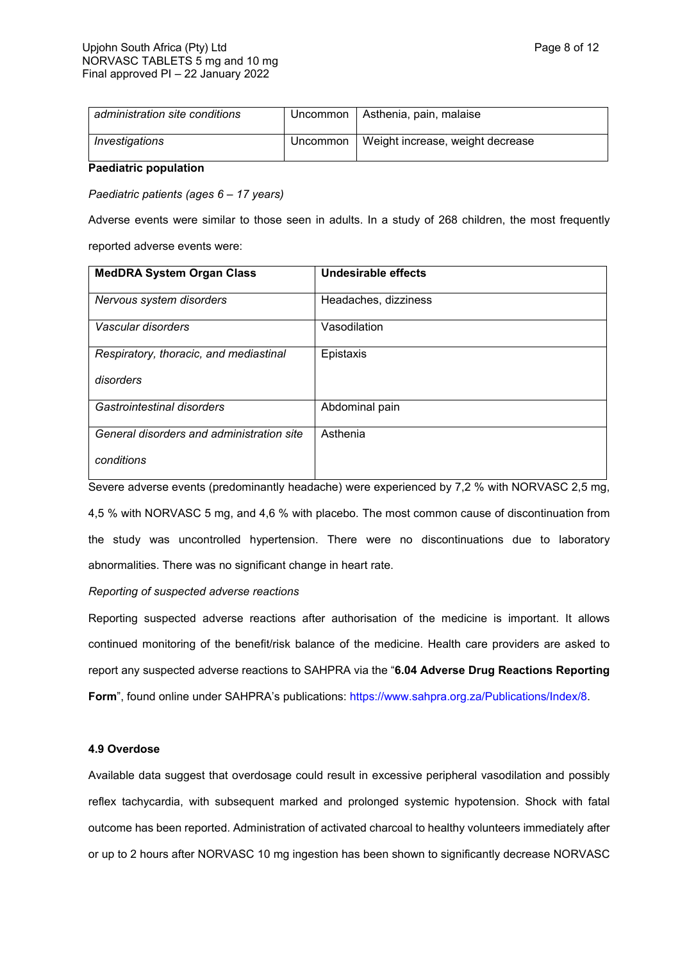| administration site conditions | Uncommon | Asthenia, pain, malaise          |
|--------------------------------|----------|----------------------------------|
| Investigations                 | Uncommon | Weight increase, weight decrease |

**Paediatric population**

*Paediatric patients (ages 6 – 17 years)*

Adverse events were similar to those seen in adults. In a study of 268 children, the most frequently reported adverse events were:

| <b>MedDRA System Organ Class</b>          | Undesirable effects  |
|-------------------------------------------|----------------------|
| Nervous system disorders                  | Headaches, dizziness |
| Vascular disorders                        | Vasodilation         |
| Respiratory, thoracic, and mediastinal    | Epistaxis            |
| disorders                                 |                      |
| Gastrointestinal disorders                | Abdominal pain       |
| General disorders and administration site | Asthenia             |
| conditions                                |                      |

Severe adverse events (predominantly headache) were experienced by 7,2 % with NORVASC 2,5 mg,

4,5 % with NORVASC 5 mg, and 4,6 % with placebo. The most common cause of discontinuation from the study was uncontrolled hypertension. There were no discontinuations due to laboratory abnormalities. There was no significant change in heart rate.

### *Reporting of suspected adverse reactions*

Reporting suspected adverse reactions after authorisation of the medicine is important. It allows continued monitoring of the benefit/risk balance of the medicine. Health care providers are asked to report any suspected adverse reactions to SAHPRA via the "**6.04 Adverse Drug Reactions Reporting Form**", found online under SAHPRA's publications:<https://www.sahpra.org.za/Publications/Index/8>.

## **4.9 Overdose**

Available data suggest that overdosage could result in excessive peripheral vasodilation and possibly reflex tachycardia, with subsequent marked and prolonged systemic hypotension. Shock with fatal outcome has been reported. Administration of activated charcoal to healthy volunteers immediately after or up to 2 hours after NORVASC 10 mg ingestion has been shown to significantly decrease NORVASC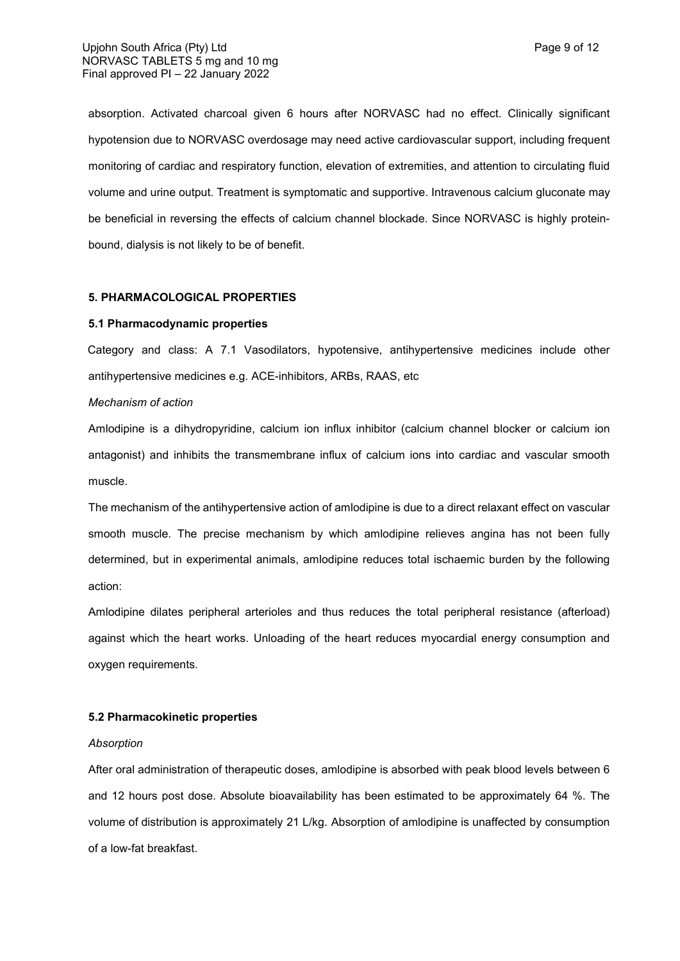absorption. Activated charcoal given 6 hours after NORVASC had no effect. Clinically significant hypotension due to NORVASC overdosage may need active cardiovascular support, including frequent monitoring of cardiac and respiratory function, elevation of extremities, and attention to circulating fluid volume and urine output. Treatment is symptomatic and supportive. Intravenous calcium gluconate may be beneficial in reversing the effects of calcium channel blockade. Since NORVASC is highly proteinbound, dialysis is not likely to be of benefit.

#### **5. PHARMACOLOGICAL PROPERTIES**

#### **5.1 Pharmacodynamic properties**

Category and class: A 7.1 Vasodilators, hypotensive, antihypertensive medicines include other antihypertensive medicines e.g. ACE-inhibitors, ARBs, RAAS, etc

#### *Mechanism of action*

Amlodipine is a dihydropyridine, calcium ion influx inhibitor (calcium channel blocker or calcium ion antagonist) and inhibits the transmembrane influx of calcium ions into cardiac and vascular smooth muscle.

The mechanism of the antihypertensive action of amlodipine is due to a direct relaxant effect on vascular smooth muscle. The precise mechanism by which amlodipine relieves angina has not been fully determined, but in experimental animals, amlodipine reduces total ischaemic burden by the following action:

Amlodipine dilates peripheral arterioles and thus reduces the total peripheral resistance (afterload) against which the heart works. Unloading of the heart reduces myocardial energy consumption and oxygen requirements.

#### **5.2 Pharmacokinetic properties**

### *Absorption*

After oral administration of therapeutic doses, amlodipine is absorbed with peak blood levels between 6 and 12 hours post dose. Absolute bioavailability has been estimated to be approximately 64 %. The volume of distribution is approximately 21 L/kg. Absorption of amlodipine is unaffected by consumption of a low-fat breakfast.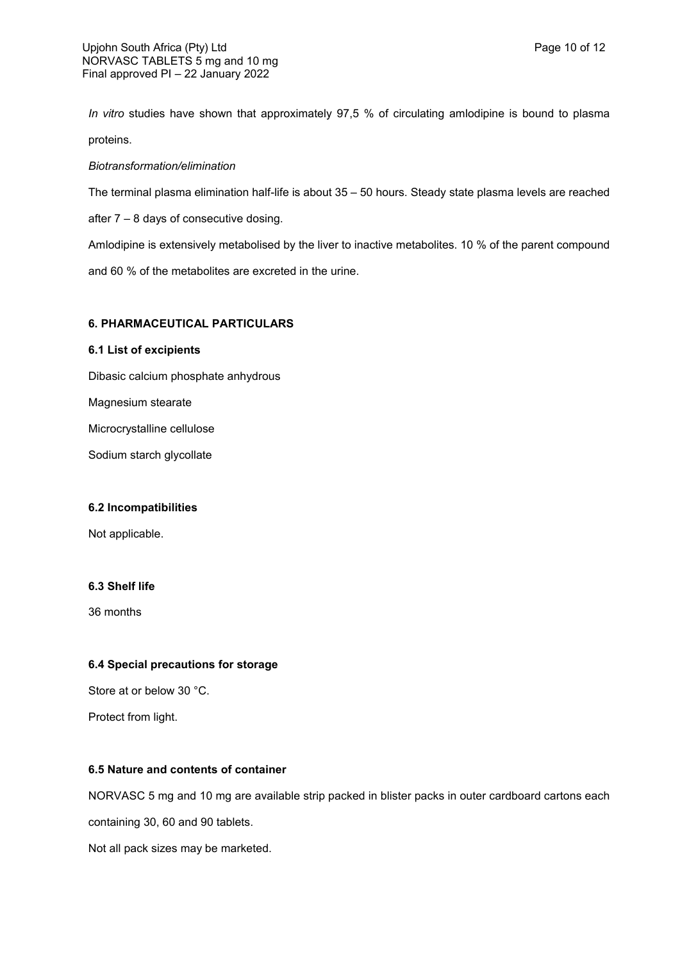*In vitro* studies have shown that approximately 97,5 % of circulating amlodipine is bound to plasma proteins.

### *Biotransformation/elimination*

The terminal plasma elimination half-life is about 35 – 50 hours. Steady state plasma levels are reached

after 7 – 8 days of consecutive dosing.

Amlodipine is extensively metabolised by the liver to inactive metabolites. 10 % of the parent compound and 60 % of the metabolites are excreted in the urine.

### **6. PHARMACEUTICAL PARTICULARS**

### **6.1 List of excipients**

Dibasic calcium phosphate anhydrous

Magnesium stearate

Microcrystalline cellulose

Sodium starch glycollate

### **6.2 Incompatibilities**

Not applicable.

## **6.3 Shelf life**

36 months

## **6.4 Special precautions for storage**

Store at or below 30 °C.

Protect from light.

## **6.5 Nature and contents of container**

NORVASC 5 mg and 10 mg are available strip packed in blister packs in outer cardboard cartons each

containing 30, 60 and 90 tablets.

Not all pack sizes may be marketed.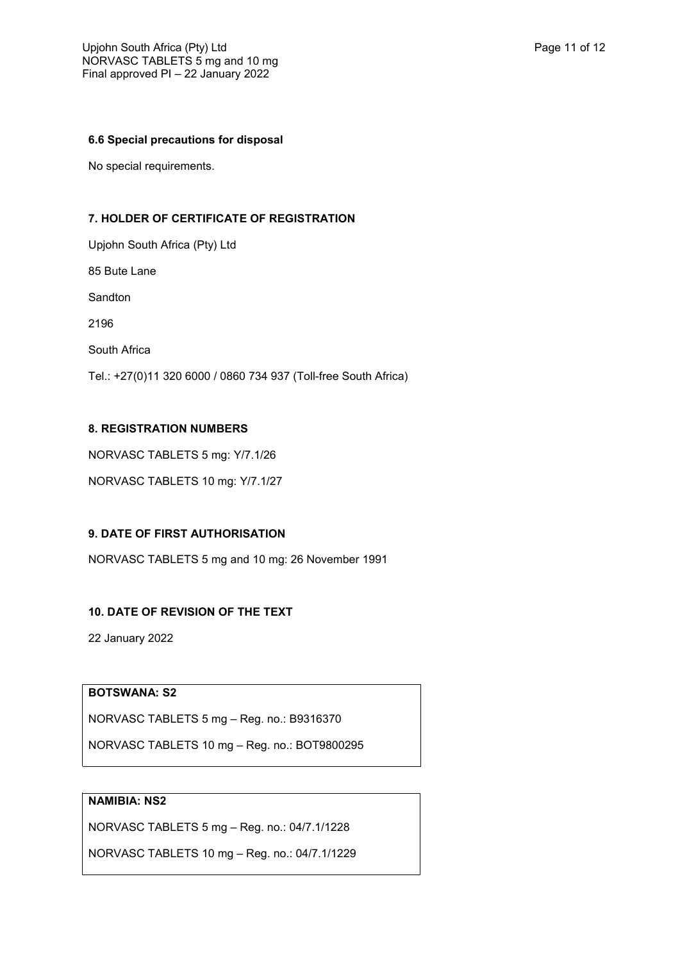### **6.6 Special precautions for disposal**

No special requirements.

## **7. HOLDER OF CERTIFICATE OF REGISTRATION**

Upjohn South Africa (Pty) Ltd 85 Bute Lane Sandton 2196 South Africa Tel.: +27(0)11 320 6000 / 0860 734 937 (Toll-free South Africa)

## **8. REGISTRATION NUMBERS**

NORVASC TABLETS 5 mg: Y/7.1/26

NORVASC TABLETS 10 mg: Y/7.1/27

# **9. DATE OF FIRST AUTHORISATION**

NORVASC TABLETS 5 mg and 10 mg: 26 November 1991

# **10. DATE OF REVISION OF THE TEXT**

22 January 2022

## **BOTSWANA: S2**

NORVASC TABLETS 5 mg – Reg. no.: B9316370

NORVASC TABLETS 10 mg – Reg. no.: BOT9800295

## **NAMIBIA: NS2**

NORVASC TABLETS 5 mg – Reg. no.: 04/7.1/1228

NORVASC TABLETS 10 mg – Reg. no.: 04/7.1/1229